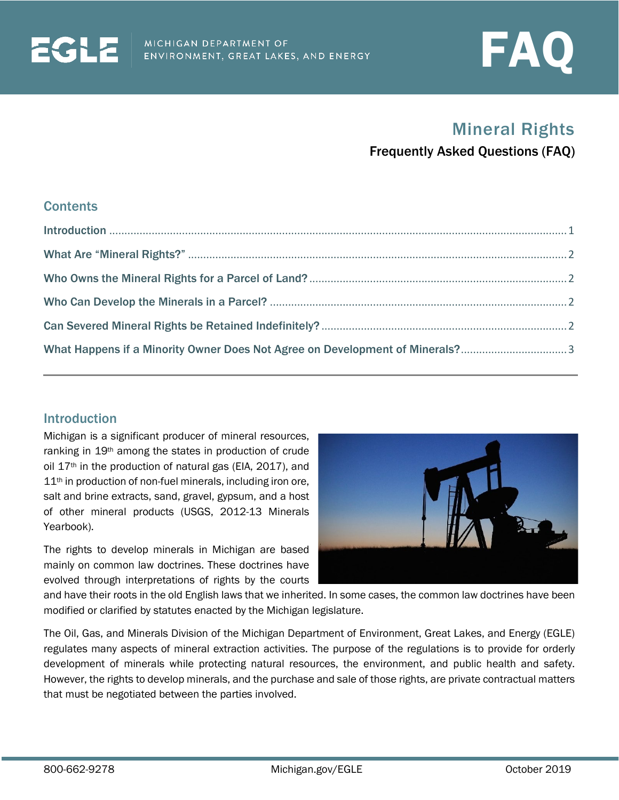

# Mineral Rights

Frequently Asked Questions (FAQ)

#### **Contents**

**ECHE** 

| What Happens if a Minority Owner Does Not Agree on Development of Minerals?3 |  |
|------------------------------------------------------------------------------|--|

#### <span id="page-0-0"></span>**Introduction**

Michigan is a significant producer of mineral resources, ranking in 19th among the states in production of crude oil 17th in the production of natural gas (EIA, 2017), and 11<sup>th</sup> in production of non-fuel minerals, including iron ore, salt and brine extracts, sand, gravel, gypsum, and a host of other mineral products (USGS, 2012-13 Minerals Yearbook).

The rights to develop minerals in Michigan are based mainly on common law doctrines. These doctrines have evolved through interpretations of rights by the courts



and have their roots in the old English laws that we inherited. In some cases, the common law doctrines have been modified or clarified by statutes enacted by the Michigan legislature.

<span id="page-0-1"></span>The Oil, Gas, and Minerals Division of the Michigan Department of Environment, Great Lakes, and Energy (EGLE) regulates many aspects of mineral extraction activities. The purpose of the regulations is to provide for orderly development of minerals while protecting natural resources, the environment, and public health and safety. However, the rights to develop minerals, and the purchase and sale of those rights, are private contractual matters that must be negotiated between the parties involved.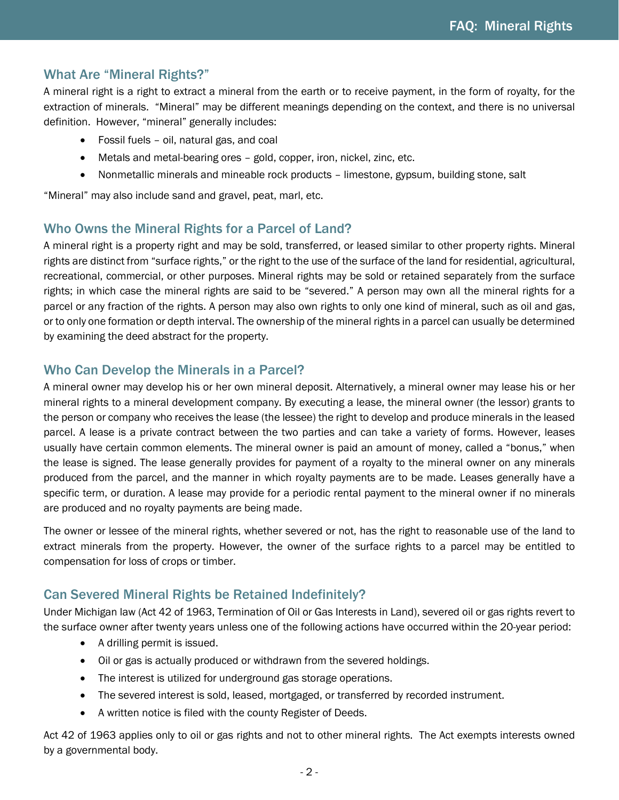# What Are "Mineral Rights?"

A mineral right is a right to extract a mineral from the earth or to receive payment, in the form of royalty, for the extraction of minerals. "Mineral" may be different meanings depending on the context, and there is no universal definition. However, "mineral" generally includes:

- Fossil fuels oil, natural gas, and coal
- Metals and metal-bearing ores gold, copper, iron, nickel, zinc, etc.
- Nonmetallic minerals and mineable rock products limestone, gypsum, building stone, salt

<span id="page-1-0"></span>"Mineral" may also include sand and gravel, peat, marl, etc.

## Who Owns the Mineral Rights for a Parcel of Land?

A mineral right is a property right and may be sold, transferred, or leased similar to other property rights. Mineral rights are distinct from "surface rights," or the right to the use of the surface of the land for residential, agricultural, recreational, commercial, or other purposes. Mineral rights may be sold or retained separately from the surface rights; in which case the mineral rights are said to be "severed." A person may own all the mineral rights for a parcel or any fraction of the rights. A person may also own rights to only one kind of mineral, such as oil and gas, or to only one formation or depth interval. The ownership of the mineral rights in a parcel can usually be determined by examining the deed abstract for the property.

## <span id="page-1-1"></span>Who Can Develop the Minerals in a Parcel?

A mineral owner may develop his or her own mineral deposit. Alternatively, a mineral owner may lease his or her mineral rights to a mineral development company. By executing a lease, the mineral owner (the lessor) grants to the person or company who receives the lease (the lessee) the right to develop and produce minerals in the leased parcel. A lease is a private contract between the two parties and can take a variety of forms. However, leases usually have certain common elements. The mineral owner is paid an amount of money, called a "bonus," when the lease is signed. The lease generally provides for payment of a royalty to the mineral owner on any minerals produced from the parcel, and the manner in which royalty payments are to be made. Leases generally have a specific term, or duration. A lease may provide for a periodic rental payment to the mineral owner if no minerals are produced and no royalty payments are being made.

The owner or lessee of the mineral rights, whether severed or not, has the right to reasonable use of the land to extract minerals from the property. However, the owner of the surface rights to a parcel may be entitled to compensation for loss of crops or timber.

## <span id="page-1-2"></span>Can Severed Mineral Rights be Retained Indefinitely?

Under Michigan law (Act 42 of 1963, Termination of Oil or Gas Interests in Land), severed oil or gas rights revert to the surface owner after twenty years unless one of the following actions have occurred within the 20-year period:

- A drilling permit is issued.
- Oil or gas is actually produced or withdrawn from the severed holdings.
- The interest is utilized for underground gas storage operations.
- The severed interest is sold, leased, mortgaged, or transferred by recorded instrument.
- A written notice is filed with the county Register of Deeds.

Act 42 of 1963 applies only to oil or gas rights and not to other mineral rights. The Act exempts interests owned by a governmental body.